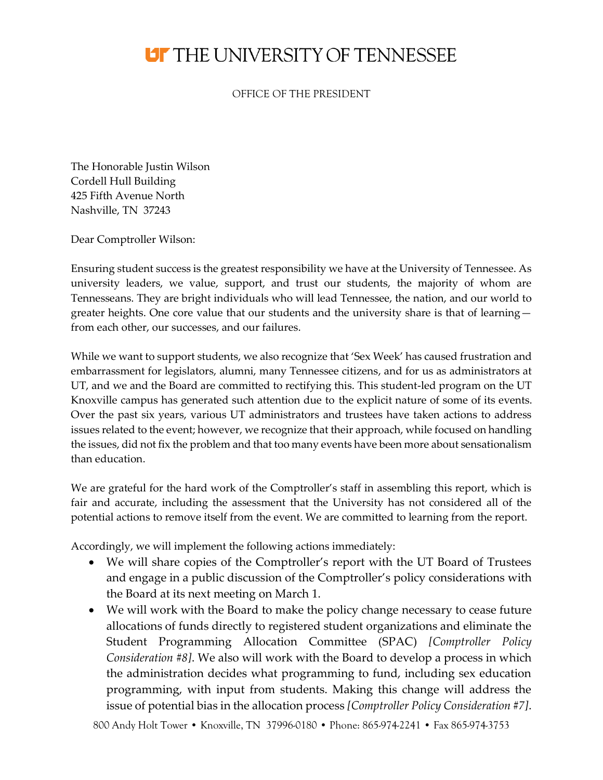## **UT THE UNIVERSITY OF TENNESSEE**

OFFICE OF THE PRESIDENT

The Honorable Justin Wilson Cordell Hull Building 425 Fifth Avenue North Nashville, TN 37243

Dear Comptroller Wilson:

Ensuring student success is the greatest responsibility we have at the University of Tennessee. As university leaders, we value, support, and trust our students, the majority of whom are Tennesseans. They are bright individuals who will lead Tennessee, the nation, and our world to greater heights. One core value that our students and the university share is that of learning from each other, our successes, and our failures.

While we want to support students, we also recognize that 'Sex Week' has caused frustration and embarrassment for legislators, alumni, many Tennessee citizens, and for us as administrators at UT, and we and the Board are committed to rectifying this. This student-led program on the UT Knoxville campus has generated such attention due to the explicit nature of some of its events. Over the past six years, various UT administrators and trustees have taken actions to address issues related to the event; however, we recognize that their approach, while focused on handling the issues, did not fix the problem and that too many events have been more about sensationalism than education.

We are grateful for the hard work of the Comptroller's staff in assembling this report, which is fair and accurate, including the assessment that the University has not considered all of the potential actions to remove itself from the event. We are committed to learning from the report.

Accordingly, we will implement the following actions immediately:

- We will share copies of the Comptroller's report with the UT Board of Trustees and engage in a public discussion of the Comptroller's policy considerations with the Board at its next meeting on March 1.
- We will work with the Board to make the policy change necessary to cease future allocations of funds directly to registered student organizations and eliminate the Student Programming Allocation Committee (SPAC) *[Comptroller Policy Consideration #8]*. We also will work with the Board to develop a process in which the administration decides what programming to fund, including sex education programming, with input from students. Making this change will address the issue of potential bias in the allocation process *[Comptroller Policy Consideration #7]*.